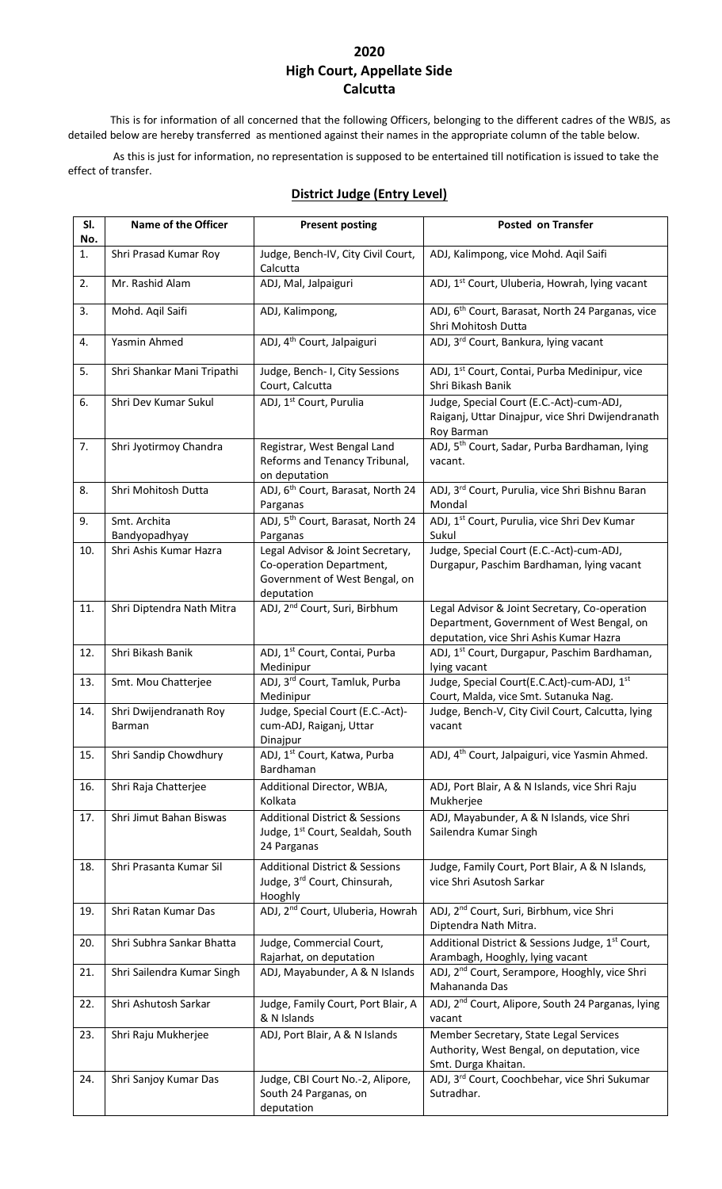## **2020 High Court, Appellate Side Calcutta**

This is for information of all concerned that the following Officers, belonging to the different cadres of the WBJS, as detailed below are hereby transferred as mentioned against their names in the appropriate column of the table below.

As this is just for information, no representation is supposed to be entertained till notification is issued to take the effect of transfer.

| SI.<br>No. | <b>Name of the Officer</b>       | <b>Present posting</b>                                                                                      | Posted on Transfer                                                                                                                    |
|------------|----------------------------------|-------------------------------------------------------------------------------------------------------------|---------------------------------------------------------------------------------------------------------------------------------------|
| 1.         | Shri Prasad Kumar Roy            | Judge, Bench-IV, City Civil Court,<br>Calcutta                                                              | ADJ, Kalimpong, vice Mohd. Aqil Saifi                                                                                                 |
| 2.         | Mr. Rashid Alam                  | ADJ, Mal, Jalpaiguri                                                                                        | ADJ, 1 <sup>st</sup> Court, Uluberia, Howrah, lying vacant                                                                            |
| 3.         | Mohd. Aqil Saifi                 | ADJ, Kalimpong,                                                                                             | ADJ, 6 <sup>th</sup> Court, Barasat, North 24 Parganas, vice<br>Shri Mohitosh Dutta                                                   |
| 4.         | Yasmin Ahmed                     | ADJ, 4 <sup>th</sup> Court, Jalpaiguri                                                                      | ADJ, 3rd Court, Bankura, lying vacant                                                                                                 |
| 5.         | Shri Shankar Mani Tripathi       | Judge, Bench- I, City Sessions<br>Court, Calcutta                                                           | ADJ, 1 <sup>st</sup> Court, Contai, Purba Medinipur, vice<br>Shri Bikash Banik                                                        |
| 6.         | Shri Dev Kumar Sukul             | ADJ, 1 <sup>st</sup> Court, Purulia                                                                         | Judge, Special Court (E.C.-Act)-cum-ADJ,<br>Raiganj, Uttar Dinajpur, vice Shri Dwijendranath<br>Roy Barman                            |
| 7.         | Shri Jyotirmoy Chandra           | Registrar, West Bengal Land<br>Reforms and Tenancy Tribunal,<br>on deputation                               | ADJ, 5 <sup>th</sup> Court, Sadar, Purba Bardhaman, lying<br>vacant.                                                                  |
| 8.         | Shri Mohitosh Dutta              | ADJ, 6 <sup>th</sup> Court, Barasat, North 24<br>Parganas                                                   | ADJ, 3rd Court, Purulia, vice Shri Bishnu Baran<br>Mondal                                                                             |
| 9.         | Smt. Archita<br>Bandyopadhyay    | ADJ, 5 <sup>th</sup> Court, Barasat, North 24<br>Parganas                                                   | ADJ, 1 <sup>st</sup> Court, Purulia, vice Shri Dev Kumar<br>Sukul                                                                     |
| 10.        | Shri Ashis Kumar Hazra           | Legal Advisor & Joint Secretary,<br>Co-operation Department,<br>Government of West Bengal, on<br>deputation | Judge, Special Court (E.C.-Act)-cum-ADJ,<br>Durgapur, Paschim Bardhaman, lying vacant                                                 |
| 11.        | Shri Diptendra Nath Mitra        | ADJ, 2 <sup>nd</sup> Court, Suri, Birbhum                                                                   | Legal Advisor & Joint Secretary, Co-operation<br>Department, Government of West Bengal, on<br>deputation, vice Shri Ashis Kumar Hazra |
| 12.        | Shri Bikash Banik                | ADJ, 1 <sup>st</sup> Court, Contai, Purba<br>Medinipur                                                      | ADJ, 1 <sup>st</sup> Court, Durgapur, Paschim Bardhaman,<br>lying vacant                                                              |
| 13.        | Smt. Mou Chatterjee              | ADJ, 3rd Court, Tamluk, Purba<br>Medinipur                                                                  | Judge, Special Court(E.C.Act)-cum-ADJ, 1st<br>Court, Malda, vice Smt. Sutanuka Nag.                                                   |
| 14.        | Shri Dwijendranath Roy<br>Barman | Judge, Special Court (E.C.-Act)-<br>cum-ADJ, Raiganj, Uttar<br>Dinajpur                                     | Judge, Bench-V, City Civil Court, Calcutta, lying<br>vacant                                                                           |
| 15.        | Shri Sandip Chowdhury            | ADJ, 1 <sup>st</sup> Court, Katwa, Purba<br>Bardhaman                                                       | ADJ, 4 <sup>th</sup> Court, Jalpaiguri, vice Yasmin Ahmed.                                                                            |
| 16.        | Shri Raja Chatterjee             | Additional Director, WBJA,<br>Kolkata                                                                       | ADJ, Port Blair, A & N Islands, vice Shri Raju<br>Mukherjee                                                                           |
| 17.        | Shri Jimut Bahan Biswas          | <b>Additional District &amp; Sessions</b><br>Judge, 1 <sup>st</sup> Court, Sealdah, South<br>24 Parganas    | ADJ, Mayabunder, A & N Islands, vice Shri<br>Sailendra Kumar Singh                                                                    |
| 18.        | Shri Prasanta Kumar Sil          | <b>Additional District &amp; Sessions</b><br>Judge, 3rd Court, Chinsurah,<br>Hooghly                        | Judge, Family Court, Port Blair, A & N Islands,<br>vice Shri Asutosh Sarkar                                                           |
| 19.        | Shri Ratan Kumar Das             | ADJ, 2 <sup>nd</sup> Court, Uluberia, Howrah                                                                | ADJ, 2 <sup>nd</sup> Court, Suri, Birbhum, vice Shri<br>Diptendra Nath Mitra.                                                         |
| 20.        | Shri Subhra Sankar Bhatta        | Judge, Commercial Court,<br>Rajarhat, on deputation                                                         | Additional District & Sessions Judge, 1 <sup>st</sup> Court,<br>Arambagh, Hooghly, lying vacant                                       |
| 21.        | Shri Sailendra Kumar Singh       | ADJ, Mayabunder, A & N Islands                                                                              | ADJ, 2 <sup>nd</sup> Court, Serampore, Hooghly, vice Shri<br>Mahananda Das                                                            |
| 22.        | Shri Ashutosh Sarkar             | Judge, Family Court, Port Blair, A<br>& N Islands                                                           | ADJ, 2 <sup>nd</sup> Court, Alipore, South 24 Parganas, lying<br>vacant                                                               |
| 23.        | Shri Raju Mukherjee              | ADJ, Port Blair, A & N Islands                                                                              | Member Secretary, State Legal Services<br>Authority, West Bengal, on deputation, vice<br>Smt. Durga Khaitan.                          |
| 24.        | Shri Sanjoy Kumar Das            | Judge, CBI Court No.-2, Alipore,<br>South 24 Parganas, on<br>deputation                                     | ADJ, 3rd Court, Coochbehar, vice Shri Sukumar<br>Sutradhar.                                                                           |

### **District Judge (Entry Level)**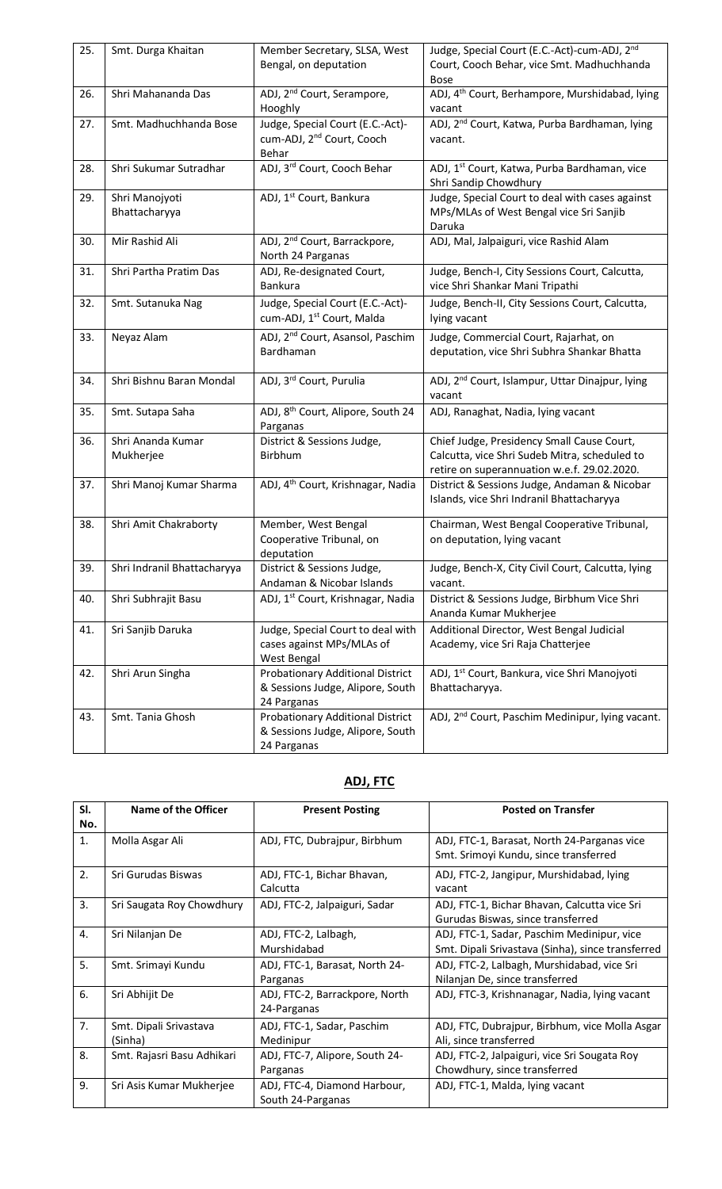| 25. | Smt. Durga Khaitan          | Member Secretary, SLSA, West                  | Judge, Special Court (E.C.-Act)-cum-ADJ, 2 <sup>nd</sup>     |
|-----|-----------------------------|-----------------------------------------------|--------------------------------------------------------------|
|     |                             | Bengal, on deputation                         | Court, Cooch Behar, vice Smt. Madhuchhanda                   |
|     |                             |                                               | <b>Bose</b>                                                  |
| 26. | Shri Mahananda Das          | ADJ, 2 <sup>nd</sup> Court, Serampore,        | ADJ, 4 <sup>th</sup> Court, Berhampore, Murshidabad, lying   |
|     |                             | Hooghly                                       | vacant                                                       |
| 27. | Smt. Madhuchhanda Bose      | Judge, Special Court (E.C.-Act)-              | ADJ, 2 <sup>nd</sup> Court, Katwa, Purba Bardhaman, lying    |
|     |                             | cum-ADJ, 2 <sup>nd</sup> Court, Cooch         | vacant.                                                      |
|     |                             | Behar                                         |                                                              |
| 28. | Shri Sukumar Sutradhar      | ADJ, 3rd Court, Cooch Behar                   | ADJ, 1 <sup>st</sup> Court, Katwa, Purba Bardhaman, vice     |
|     |                             |                                               | Shri Sandip Chowdhury                                        |
| 29. | Shri Manojyoti              | ADJ, 1 <sup>st</sup> Court, Bankura           | Judge, Special Court to deal with cases against              |
|     | Bhattacharyya               |                                               | MPs/MLAs of West Bengal vice Sri Sanjib                      |
|     |                             |                                               | Daruka                                                       |
| 30. | Mir Rashid Ali              | ADJ, 2 <sup>nd</sup> Court, Barrackpore,      | ADJ, Mal, Jalpaiguri, vice Rashid Alam                       |
|     |                             | North 24 Parganas                             |                                                              |
| 31. | Shri Partha Pratim Das      | ADJ, Re-designated Court,                     | Judge, Bench-I, City Sessions Court, Calcutta,               |
|     |                             | <b>Bankura</b>                                | vice Shri Shankar Mani Tripathi                              |
| 32. | Smt. Sutanuka Nag           | Judge, Special Court (E.C.-Act)-              | Judge, Bench-II, City Sessions Court, Calcutta,              |
|     |                             | cum-ADJ, 1 <sup>st</sup> Court, Malda         | lying vacant                                                 |
|     |                             |                                               |                                                              |
| 33. | Neyaz Alam                  | ADJ, 2 <sup>nd</sup> Court, Asansol, Paschim  | Judge, Commercial Court, Rajarhat, on                        |
|     |                             | Bardhaman                                     | deputation, vice Shri Subhra Shankar Bhatta                  |
|     | Shri Bishnu Baran Mondal    | ADJ, 3rd Court, Purulia                       | ADJ, 2 <sup>nd</sup> Court, Islampur, Uttar Dinajpur, lying  |
| 34. |                             |                                               |                                                              |
|     |                             |                                               | vacant                                                       |
| 35. | Smt. Sutapa Saha            | ADJ, 8 <sup>th</sup> Court, Alipore, South 24 | ADJ, Ranaghat, Nadia, lying vacant                           |
|     |                             | Parganas                                      |                                                              |
| 36. | Shri Ananda Kumar           | District & Sessions Judge,                    | Chief Judge, Presidency Small Cause Court,                   |
|     | Mukherjee                   | Birbhum                                       | Calcutta, vice Shri Sudeb Mitra, scheduled to                |
|     |                             |                                               | retire on superannuation w.e.f. 29.02.2020.                  |
| 37. | Shri Manoj Kumar Sharma     | ADJ, 4 <sup>th</sup> Court, Krishnagar, Nadia | District & Sessions Judge, Andaman & Nicobar                 |
|     |                             |                                               | Islands, vice Shri Indranil Bhattacharyya                    |
| 38. | Shri Amit Chakraborty       | Member, West Bengal                           | Chairman, West Bengal Cooperative Tribunal,                  |
|     |                             | Cooperative Tribunal, on                      | on deputation, lying vacant                                  |
|     |                             | deputation                                    |                                                              |
| 39. | Shri Indranil Bhattacharyya | District & Sessions Judge,                    | Judge, Bench-X, City Civil Court, Calcutta, lying            |
|     |                             | Andaman & Nicobar Islands                     | vacant.                                                      |
| 40. | Shri Subhrajit Basu         | ADJ, 1 <sup>st</sup> Court, Krishnagar, Nadia | District & Sessions Judge, Birbhum Vice Shri                 |
|     |                             |                                               | Ananda Kumar Mukherjee                                       |
| 41. | Sri Sanjib Daruka           | Judge, Special Court to deal with             | Additional Director, West Bengal Judicial                    |
|     |                             | cases against MPs/MLAs of                     | Academy, vice Sri Raja Chatterjee                            |
|     |                             | West Bengal                                   |                                                              |
| 42. | Shri Arun Singha            | Probationary Additional District              | ADJ, 1 <sup>st</sup> Court, Bankura, vice Shri Manojyoti     |
|     |                             | & Sessions Judge, Alipore, South              | Bhattacharyya.                                               |
|     |                             | 24 Parganas                                   |                                                              |
| 43. | Smt. Tania Ghosh            | Probationary Additional District              | ADJ, 2 <sup>nd</sup> Court, Paschim Medinipur, lying vacant. |
|     |                             | & Sessions Judge, Alipore, South              |                                                              |
|     |                             | 24 Parganas                                   |                                                              |

## **ADJ, FTC**

| SI.<br>No. | Name of the Officer               | <b>Present Posting</b>                            | <b>Posted on Transfer</b>                                                                       |
|------------|-----------------------------------|---------------------------------------------------|-------------------------------------------------------------------------------------------------|
| 1.         | Molla Asgar Ali                   | ADJ, FTC, Dubrajpur, Birbhum                      | ADJ, FTC-1, Barasat, North 24-Parganas vice<br>Smt. Srimoyi Kundu, since transferred            |
| 2.         | Sri Gurudas Biswas                | ADJ, FTC-1, Bichar Bhavan,<br>Calcutta            | ADJ, FTC-2, Jangipur, Murshidabad, lying<br>vacant                                              |
| 3.         | Sri Saugata Roy Chowdhury         | ADJ, FTC-2, Jalpaiguri, Sadar                     | ADJ, FTC-1, Bichar Bhavan, Calcutta vice Sri<br>Gurudas Biswas, since transferred               |
| 4.         | Sri Nilanjan De                   | ADJ, FTC-2, Lalbagh,<br>Murshidabad               | ADJ, FTC-1, Sadar, Paschim Medinipur, vice<br>Smt. Dipali Srivastava (Sinha), since transferred |
| 5.         | Smt. Srimayi Kundu                | ADJ, FTC-1, Barasat, North 24-<br>Parganas        | ADJ, FTC-2, Lalbagh, Murshidabad, vice Sri<br>Nilanjan De, since transferred                    |
| 6.         | Sri Abhijit De                    | ADJ, FTC-2, Barrackpore, North<br>24-Parganas     | ADJ, FTC-3, Krishnanagar, Nadia, lying vacant                                                   |
| 7.         | Smt. Dipali Srivastava<br>(Sinha) | ADJ, FTC-1, Sadar, Paschim<br>Medinipur           | ADJ, FTC, Dubrajpur, Birbhum, vice Molla Asgar<br>Ali, since transferred                        |
| 8.         | Smt. Rajasri Basu Adhikari        | ADJ, FTC-7, Alipore, South 24-<br>Parganas        | ADJ, FTC-2, Jalpaiguri, vice Sri Sougata Roy<br>Chowdhury, since transferred                    |
| 9.         | Sri Asis Kumar Mukherjee          | ADJ, FTC-4, Diamond Harbour,<br>South 24-Parganas | ADJ, FTC-1, Malda, lying vacant                                                                 |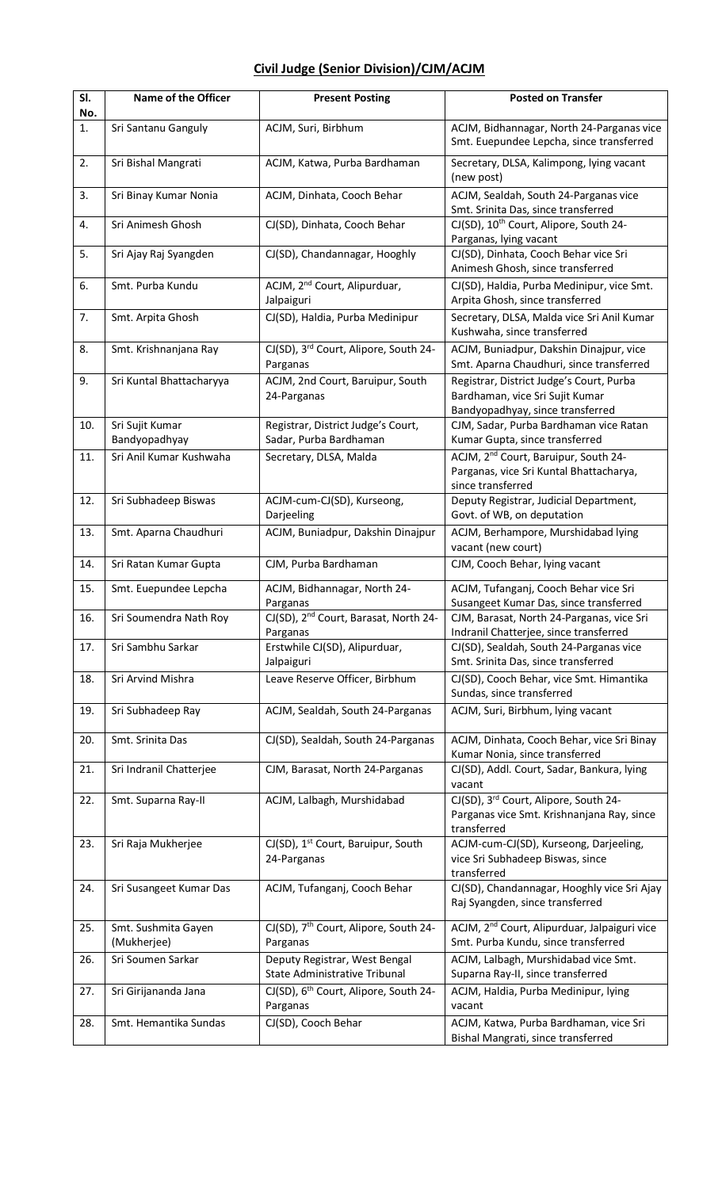### **Civil Judge (Senior Division)/CJM/ACJM**

| SI.<br>No. | Name of the Officer                | <b>Present Posting</b>                                         | <b>Posted on Transfer</b>                                                                                        |
|------------|------------------------------------|----------------------------------------------------------------|------------------------------------------------------------------------------------------------------------------|
| 1.         | Sri Santanu Ganguly                | ACJM, Suri, Birbhum                                            | ACJM, Bidhannagar, North 24-Parganas vice<br>Smt. Euepundee Lepcha, since transferred                            |
| 2.         | Sri Bishal Mangrati                | ACJM, Katwa, Purba Bardhaman                                   | Secretary, DLSA, Kalimpong, lying vacant<br>(new post)                                                           |
| 3.         | Sri Binay Kumar Nonia              | ACJM, Dinhata, Cooch Behar                                     | ACJM, Sealdah, South 24-Parganas vice<br>Smt. Srinita Das, since transferred                                     |
| 4.         | Sri Animesh Ghosh                  | CJ(SD), Dinhata, Cooch Behar                                   | CJ(SD), 10 <sup>th</sup> Court, Alipore, South 24-<br>Parganas, lying vacant                                     |
| 5.         | Sri Ajay Raj Syangden              | CJ(SD), Chandannagar, Hooghly                                  | CJ(SD), Dinhata, Cooch Behar vice Sri<br>Animesh Ghosh, since transferred                                        |
| 6.         | Smt. Purba Kundu                   | ACJM, 2 <sup>nd</sup> Court, Alipurduar,<br>Jalpaiguri         | CJ(SD), Haldia, Purba Medinipur, vice Smt.<br>Arpita Ghosh, since transferred                                    |
| 7.         | Smt. Arpita Ghosh                  | CJ(SD), Haldia, Purba Medinipur                                | Secretary, DLSA, Malda vice Sri Anil Kumar<br>Kushwaha, since transferred                                        |
| 8.         | Smt. Krishnanjana Ray              | CJ(SD), 3rd Court, Alipore, South 24-<br>Parganas              | ACJM, Buniadpur, Dakshin Dinajpur, vice<br>Smt. Aparna Chaudhuri, since transferred                              |
| 9.         | Sri Kuntal Bhattacharyya           | ACJM, 2nd Court, Baruipur, South<br>24-Parganas                | Registrar, District Judge's Court, Purba<br>Bardhaman, vice Sri Sujit Kumar<br>Bandyopadhyay, since transferred  |
| 10.        | Sri Sujit Kumar<br>Bandyopadhyay   | Registrar, District Judge's Court,<br>Sadar, Purba Bardhaman   | CJM, Sadar, Purba Bardhaman vice Ratan<br>Kumar Gupta, since transferred                                         |
| 11.        | Sri Anil Kumar Kushwaha            | Secretary, DLSA, Malda                                         | ACJM, 2 <sup>nd</sup> Court, Baruipur, South 24-<br>Parganas, vice Sri Kuntal Bhattacharya,<br>since transferred |
| 12.        | Sri Subhadeep Biswas               | ACJM-cum-CJ(SD), Kurseong,<br>Darjeeling                       | Deputy Registrar, Judicial Department,<br>Govt. of WB, on deputation                                             |
| 13.        | Smt. Aparna Chaudhuri              | ACJM, Buniadpur, Dakshin Dinajpur                              | ACJM, Berhampore, Murshidabad lying<br>vacant (new court)                                                        |
| 14.        | Sri Ratan Kumar Gupta              | CJM, Purba Bardhaman                                           | CJM, Cooch Behar, lying vacant                                                                                   |
| 15.        | Smt. Euepundee Lepcha              | ACJM, Bidhannagar, North 24-<br>Parganas                       | ACJM, Tufanganj, Cooch Behar vice Sri<br>Susangeet Kumar Das, since transferred                                  |
| 16.        | Sri Soumendra Nath Roy             | CJ(SD), 2 <sup>nd</sup> Court, Barasat, North 24-<br>Parganas  | CJM, Barasat, North 24-Parganas, vice Sri<br>Indranil Chatterjee, since transferred                              |
| 17.        | Sri Sambhu Sarkar                  | Erstwhile CJ(SD), Alipurduar,<br>Jalpaiguri                    | CJ(SD), Sealdah, South 24-Parganas vice<br>Smt. Srinita Das, since transferred                                   |
| 18.        | Sri Arvind Mishra                  | Leave Reserve Officer, Birbhum                                 | CJ(SD), Cooch Behar, vice Smt. Himantika<br>Sundas, since transferred                                            |
| 19.        | Sri Subhadeep Ray                  | ACJM, Sealdah, South 24-Parganas                               | ACJM, Suri, Birbhum, lying vacant                                                                                |
| 20.        | Smt. Srinita Das                   | CJ(SD), Sealdah, South 24-Parganas                             | ACJM, Dinhata, Cooch Behar, vice Sri Binay<br>Kumar Nonia, since transferred                                     |
| 21.        | Sri Indranil Chatterjee            | CJM, Barasat, North 24-Parganas                                | CJ(SD), Addl. Court, Sadar, Bankura, lying<br>vacant                                                             |
| 22.        | Smt. Suparna Ray-II                | ACJM, Lalbagh, Murshidabad                                     | CJ(SD), 3rd Court, Alipore, South 24-<br>Parganas vice Smt. Krishnanjana Ray, since<br>transferred               |
| 23.        | Sri Raja Mukherjee                 | CJ(SD), 1 <sup>st</sup> Court, Baruipur, South<br>24-Parganas  | ACJM-cum-CJ(SD), Kurseong, Darjeeling,<br>vice Sri Subhadeep Biswas, since<br>transferred                        |
| 24.        | Sri Susangeet Kumar Das            | ACJM, Tufanganj, Cooch Behar                                   | CJ(SD), Chandannagar, Hooghly vice Sri Ajay<br>Raj Syangden, since transferred                                   |
| 25.        | Smt. Sushmita Gayen<br>(Mukherjee) | CJ(SD), 7 <sup>th</sup> Court, Alipore, South 24-<br>Parganas  | ACJM, 2 <sup>nd</sup> Court, Alipurduar, Jalpaiguri vice<br>Smt. Purba Kundu, since transferred                  |
| 26.        | Sri Soumen Sarkar                  | Deputy Registrar, West Bengal<br>State Administrative Tribunal | ACJM, Lalbagh, Murshidabad vice Smt.<br>Suparna Ray-II, since transferred                                        |
| 27.        | Sri Girijananda Jana               | CJ(SD), 6 <sup>th</sup> Court, Alipore, South 24-<br>Parganas  | ACJM, Haldia, Purba Medinipur, lying<br>vacant                                                                   |
| 28.        | Smt. Hemantika Sundas              | CJ(SD), Cooch Behar                                            | ACJM, Katwa, Purba Bardhaman, vice Sri<br>Bishal Mangrati, since transferred                                     |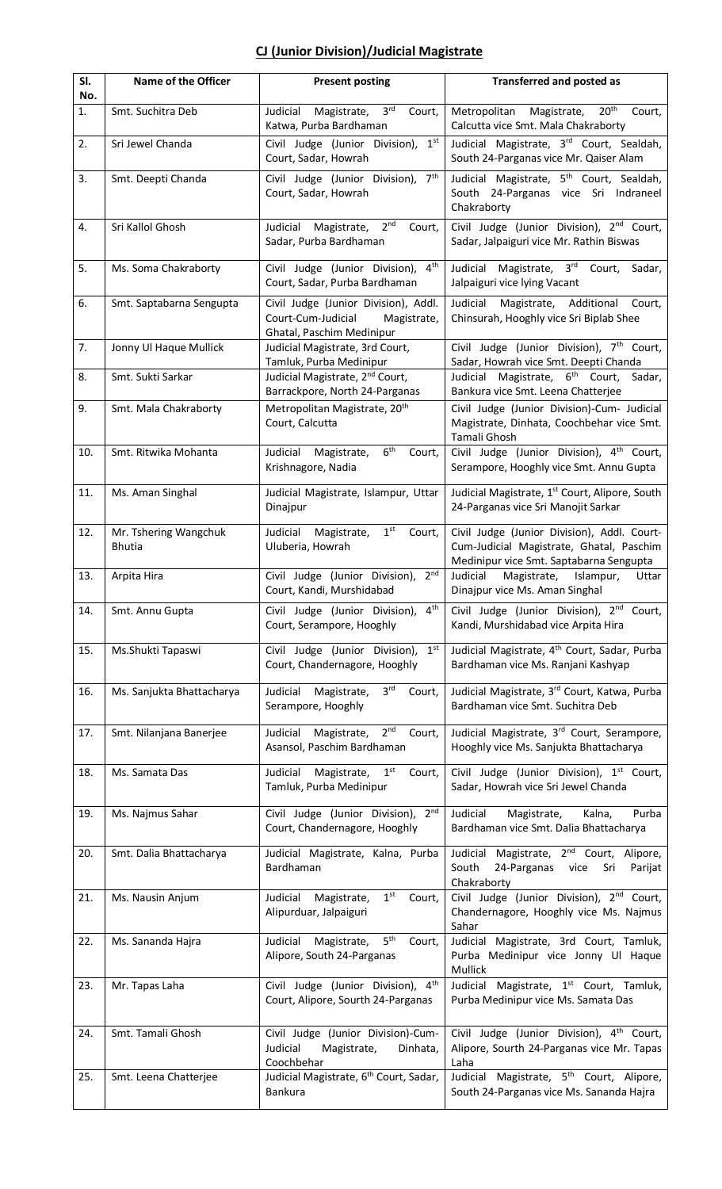# **CJ (Junior Division)/Judicial Magistrate**

| SI.<br>No. | <b>Name of the Officer</b>             | <b>Present posting</b>                                                                                 | <b>Transferred and posted as</b>                                                                                                   |
|------------|----------------------------------------|--------------------------------------------------------------------------------------------------------|------------------------------------------------------------------------------------------------------------------------------------|
| 1.         | Smt. Suchitra Deb                      | 3 <sup>rd</sup><br>Judicial<br>Magistrate,<br>Court,<br>Katwa, Purba Bardhaman                         | $20^{th}$<br>Metropolitan<br>Magistrate,<br>Court,<br>Calcutta vice Smt. Mala Chakraborty                                          |
| 2.         | Sri Jewel Chanda                       | Civil Judge (Junior Division),<br>1 <sup>st</sup><br>Court, Sadar, Howrah                              | Judicial Magistrate, 3 <sup>rd</sup> Court, Sealdah,<br>South 24-Parganas vice Mr. Qaiser Alam                                     |
| 3.         | Smt. Deepti Chanda                     | 7 <sup>th</sup><br>Civil Judge (Junior Division),<br>Court, Sadar, Howrah                              | Judicial Magistrate, 5 <sup>th</sup> Court, Sealdah,<br>South 24-Parganas vice Sri Indraneel<br>Chakraborty                        |
| 4.         | Sri Kallol Ghosh                       | 2 <sup>nd</sup><br>Judicial<br>Magistrate,<br>Court,<br>Sadar, Purba Bardhaman                         | Civil Judge (Junior Division), 2 <sup>nd</sup> Court,<br>Sadar, Jalpaiguri vice Mr. Rathin Biswas                                  |
| 5.         | Ms. Soma Chakraborty                   | Civil Judge (Junior Division),<br>4 <sup>th</sup><br>Court, Sadar, Purba Bardhaman                     | Judicial Magistrate, 3rd Court,<br>Sadar,<br>Jalpaiguri vice lying Vacant                                                          |
| 6.         | Smt. Saptabarna Sengupta               | Civil Judge (Junior Division), Addl.<br>Court-Cum-Judicial<br>Magistrate,<br>Ghatal, Paschim Medinipur | Magistrate, Additional<br>Judicial<br>Court,<br>Chinsurah, Hooghly vice Sri Biplab Shee                                            |
| 7.         | Jonny Ul Haque Mullick                 | Judicial Magistrate, 3rd Court,<br>Tamluk, Purba Medinipur                                             | Civil Judge (Junior Division), 7 <sup>th</sup> Court,<br>Sadar, Howrah vice Smt. Deepti Chanda                                     |
| 8.         | Smt. Sukti Sarkar                      | Judicial Magistrate, 2 <sup>nd</sup> Court,<br>Barrackpore, North 24-Parganas                          | Judicial Magistrate, 6 <sup>th</sup> Court,<br>Sadar,<br>Bankura vice Smt. Leena Chatterjee                                        |
| 9.         | Smt. Mala Chakraborty                  | Metropolitan Magistrate, 20 <sup>th</sup><br>Court, Calcutta                                           | Civil Judge (Junior Division)-Cum- Judicial<br>Magistrate, Dinhata, Coochbehar vice Smt.<br>Tamali Ghosh                           |
| 10.        | Smt. Ritwika Mohanta                   | 6 <sup>th</sup><br>Judicial<br>Magistrate,<br>Court,<br>Krishnagore, Nadia                             | Civil Judge (Junior Division), 4 <sup>th</sup> Court,<br>Serampore, Hooghly vice Smt. Annu Gupta                                   |
| 11.        | Ms. Aman Singhal                       | Judicial Magistrate, Islampur, Uttar<br>Dinajpur                                                       | Judicial Magistrate, 1st Court, Alipore, South<br>24-Parganas vice Sri Manojit Sarkar                                              |
| 12.        | Mr. Tshering Wangchuk<br><b>Bhutia</b> | 1 <sup>st</sup><br>Judicial<br>Magistrate,<br>Court,<br>Uluberia, Howrah                               | Civil Judge (Junior Division), Addl. Court-<br>Cum-Judicial Magistrate, Ghatal, Paschim<br>Medinipur vice Smt. Saptabarna Sengupta |
| 13.        | Arpita Hira                            | Civil Judge (Junior Division), 2nd<br>Court, Kandi, Murshidabad                                        | Judicial<br>Magistrate,<br>Islampur,<br>Uttar<br>Dinajpur vice Ms. Aman Singhal                                                    |
| 14.        | Smt. Annu Gupta                        | Civil Judge (Junior Division),<br>$4^{\text{th}}$<br>Court, Serampore, Hooghly                         | Civil Judge (Junior Division), 2 <sup>nd</sup> Court,<br>Kandi, Murshidabad vice Arpita Hira                                       |
| 15.        | Ms.Shukti Tapaswi                      | Civil Judge (Junior Division),<br>1 <sup>st</sup><br>Court, Chandernagore, Hooghly                     | Judicial Magistrate, 4 <sup>th</sup> Court, Sadar, Purba<br>Bardhaman vice Ms. Ranjani Kashyap                                     |
| 16.        | Ms. Sanjukta Bhattacharya              | 3 <sup>rd</sup><br>Judicial Magistrate,<br>Court,<br>Serampore, Hooghly                                | Judicial Magistrate, 3rd Court, Katwa, Purba<br>Bardhaman vice Smt. Suchitra Deb                                                   |
| 17.        | Smt. Nilanjana Banerjee                | 2 <sup>nd</sup><br>Judicial Magistrate,<br>Court,<br>Asansol, Paschim Bardhaman                        | Judicial Magistrate, 3rd Court, Serampore,<br>Hooghly vice Ms. Sanjukta Bhattacharya                                               |
| 18.        | Ms. Samata Das                         | Magistrate,<br>1 <sup>st</sup><br>Judicial<br>Court,<br>Tamluk, Purba Medinipur                        | Civil Judge (Junior Division), 1 <sup>st</sup> Court,<br>Sadar, Howrah vice Sri Jewel Chanda                                       |
| 19.        | Ms. Najmus Sahar                       | Civil Judge (Junior Division), 2nd<br>Court, Chandernagore, Hooghly                                    | Judicial<br>Kalna,<br>Purba<br>Magistrate,<br>Bardhaman vice Smt. Dalia Bhattacharya                                               |
| 20.        | Smt. Dalia Bhattacharya                | Judicial Magistrate, Kalna, Purba<br>Bardhaman                                                         | Judicial Magistrate, 2 <sup>nd</sup> Court, Alipore,<br>South<br>24-Parganas vice<br>Sri<br>Parijat<br>Chakraborty                 |
| 21.        | Ms. Nausin Anjum                       | 1 <sup>st</sup><br>Judicial<br>Magistrate,<br>Court,<br>Alipurduar, Jalpaiguri                         | Civil Judge (Junior Division), 2 <sup>nd</sup> Court,<br>Chandernagore, Hooghly vice Ms. Najmus<br>Sahar                           |
| 22.        | Ms. Sananda Hajra                      | 5 <sup>th</sup><br>Judicial<br>Magistrate,<br>Court,<br>Alipore, South 24-Parganas                     | Judicial Magistrate, 3rd Court, Tamluk,<br>Purba Medinipur vice Jonny Ul Haque<br>Mullick                                          |
| 23.        | Mr. Tapas Laha                         | Civil Judge (Junior Division), 4th<br>Court, Alipore, Sourth 24-Parganas                               | Judicial Magistrate, 1 <sup>st</sup> Court, Tamluk,<br>Purba Medinipur vice Ms. Samata Das                                         |
| 24.        | Smt. Tamali Ghosh                      | Civil Judge (Junior Division)-Cum-<br>Judicial<br>Magistrate,<br>Dinhata,<br>Coochbehar                | Civil Judge (Junior Division), 4 <sup>th</sup> Court,<br>Alipore, Sourth 24-Parganas vice Mr. Tapas<br>Laha                        |
| 25.        | Smt. Leena Chatterjee                  | Judicial Magistrate, 6 <sup>th</sup> Court, Sadar,<br><b>Bankura</b>                                   | Judicial Magistrate, 5 <sup>th</sup> Court, Alipore,<br>South 24-Parganas vice Ms. Sananda Hajra                                   |